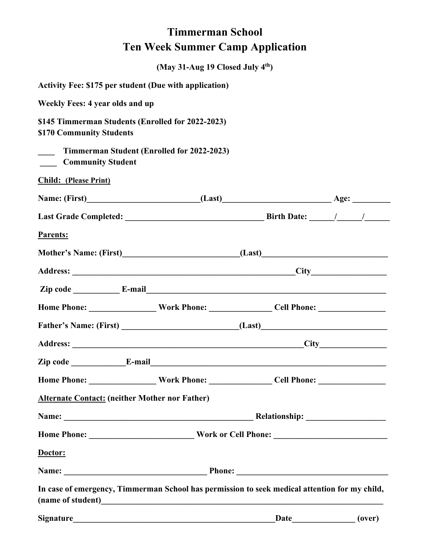## **Timmerman School Ten Week Summer Camp Application**

|                                                                                                      | (May 31-Aug 19 Closed July 4th) |      |        |
|------------------------------------------------------------------------------------------------------|---------------------------------|------|--------|
| <b>Activity Fee: \$175 per student (Due with application)</b>                                        |                                 |      |        |
| <b>Weekly Fees: 4 year olds and up</b>                                                               |                                 |      |        |
| \$145 Timmerman Students (Enrolled for 2022-2023)<br>\$170 Community Students                        |                                 |      |        |
| Timmerman Student (Enrolled for 2022-2023)<br><b>Community Student</b>                               |                                 |      |        |
| <b>Child: (Please Print)</b>                                                                         |                                 |      |        |
|                                                                                                      |                                 |      |        |
|                                                                                                      |                                 |      |        |
| Parents:                                                                                             |                                 |      |        |
|                                                                                                      |                                 |      |        |
|                                                                                                      |                                 |      |        |
|                                                                                                      |                                 |      |        |
|                                                                                                      |                                 |      |        |
|                                                                                                      |                                 |      |        |
|                                                                                                      |                                 |      |        |
|                                                                                                      |                                 |      |        |
| Home Phone: _____________________Work Phone: __________________Cell Phone: _________________________ |                                 |      |        |
| <b>Alternate Contact:</b> (neither Mother nor Father)                                                |                                 |      |        |
|                                                                                                      |                                 |      |        |
|                                                                                                      |                                 |      |        |
| Doctor:                                                                                              |                                 |      |        |
|                                                                                                      |                                 |      |        |
| In case of emergency, Timmerman School has permission to seek medical attention for my child,        |                                 |      |        |
| <b>Signature</b>                                                                                     |                                 | Date | (over) |